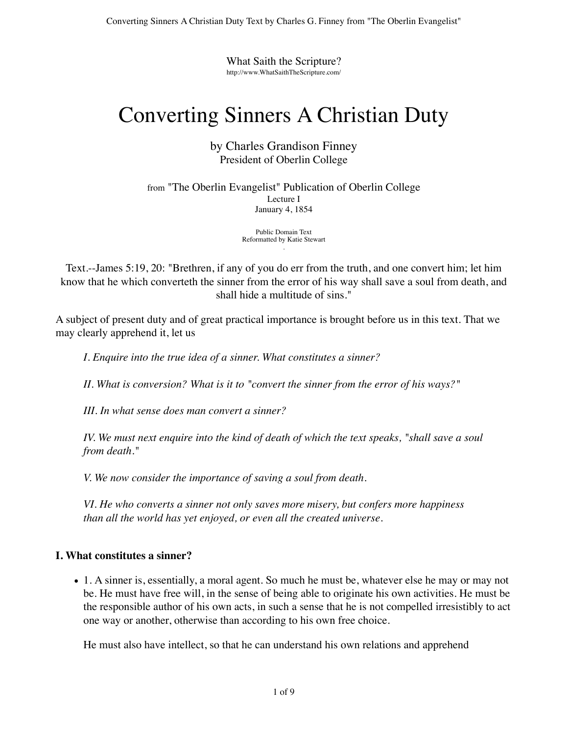What Saith the Scripture? http://www.WhatSaithTheScripture.com/

# Converting Sinners A Christian Duty

by Charles Grandison Finney President of Oberlin College

from "The Oberlin Evangelist" Publication of Oberlin College Lecture I January 4, 1854

> Public Domain Text Reformatted by Katie Stewart .

Text.--James 5:19, 20: "Brethren, if any of you do err from the truth, and one convert him; let him know that he which converteth the sinner from the error of his way shall save a soul from death, and shall hide a multitude of sins."

A subject of present duty and of great practical importance is brought before us in this text. That we may clearly apprehend it, let us

*I. Enquire into the true idea of a sinner. What constitutes a sinner?*

*II. What is conversion? What is it to "convert the sinner from the error of his ways?"*

*III. In what sense does man convert a sinner?*

*IV. We must next enquire into the kind of death of which the text speaks, "shall save a soul from death."*

*V. We now consider the importance of saving a soul from death.*

*VI. He who converts a sinner not only saves more misery, but confers more happiness than all the world has yet enjoyed, or even all the created universe.*

#### **I. What constitutes a sinner?**

1. A sinner is, essentially, a moral agent. So much he must be, whatever else he may or may not be. He must have free will, in the sense of being able to originate his own activities. He must be the responsible author of his own acts, in such a sense that he is not compelled irresistibly to act one way or another, otherwise than according to his own free choice.

He must also have intellect, so that he can understand his own relations and apprehend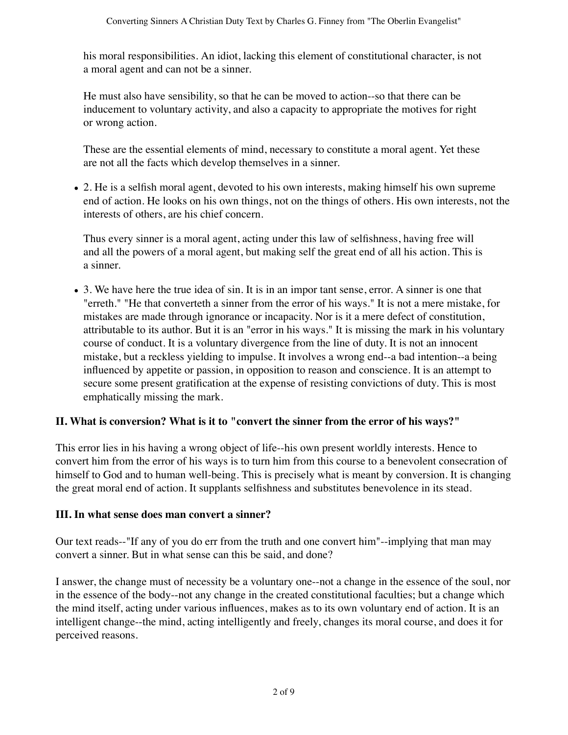his moral responsibilities. An idiot, lacking this element of constitutional character, is not a moral agent and can not be a sinner.

He must also have sensibility, so that he can be moved to action--so that there can be inducement to voluntary activity, and also a capacity to appropriate the motives for right or wrong action.

These are the essential elements of mind, necessary to constitute a moral agent. Yet these are not all the facts which develop themselves in a sinner.

2. He is a selfish moral agent, devoted to his own interests, making himself his own supreme end of action. He looks on his own things, not on the things of others. His own interests, not the interests of others, are his chief concern.

Thus every sinner is a moral agent, acting under this law of selfishness, having free will and all the powers of a moral agent, but making self the great end of all his action. This is a sinner.

3. We have here the true idea of sin. It is in an impor tant sense, error. A sinner is one that "erreth." "He that converteth a sinner from the error of his ways." It is not a mere mistake, for mistakes are made through ignorance or incapacity. Nor is it a mere defect of constitution, attributable to its author. But it is an "error in his ways." It is missing the mark in his voluntary course of conduct. It is a voluntary divergence from the line of duty. It is not an innocent mistake, but a reckless yielding to impulse. It involves a wrong end--a bad intention--a being influenced by appetite or passion, in opposition to reason and conscience. It is an attempt to secure some present gratification at the expense of resisting convictions of duty. This is most emphatically missing the mark.

## **II. What is conversion? What is it to "convert the sinner from the error of his ways?"**

This error lies in his having a wrong object of life--his own present worldly interests. Hence to convert him from the error of his ways is to turn him from this course to a benevolent consecration of himself to God and to human well-being. This is precisely what is meant by conversion. It is changing the great moral end of action. It supplants selfishness and substitutes benevolence in its stead.

#### **III. In what sense does man convert a sinner?**

Our text reads--"If any of you do err from the truth and one convert him"--implying that man may convert a sinner. But in what sense can this be said, and done?

I answer, the change must of necessity be a voluntary one--not a change in the essence of the soul, nor in the essence of the body--not any change in the created constitutional faculties; but a change which the mind itself, acting under various influences, makes as to its own voluntary end of action. It is an intelligent change--the mind, acting intelligently and freely, changes its moral course, and does it for perceived reasons.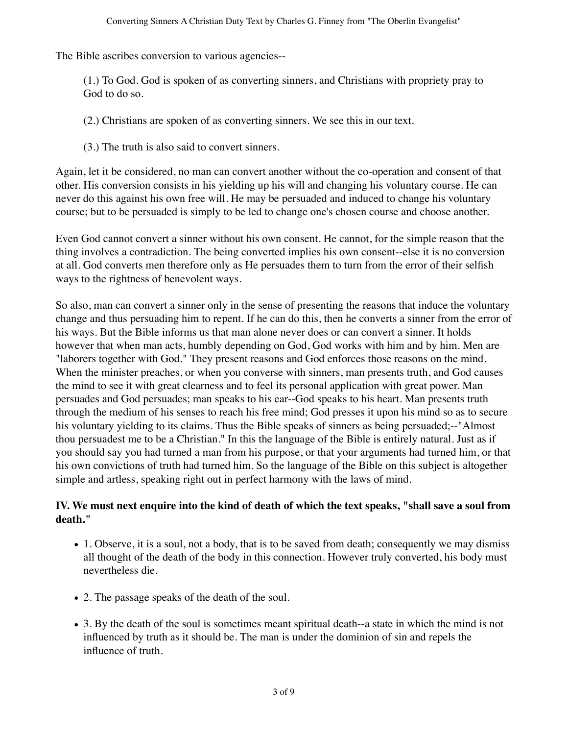The Bible ascribes conversion to various agencies--

(1.) To God. God is spoken of as converting sinners, and Christians with propriety pray to God to do so.

(2.) Christians are spoken of as converting sinners. We see this in our text.

(3.) The truth is also said to convert sinners.

Again, let it be considered, no man can convert another without the co-operation and consent of that other. His conversion consists in his yielding up his will and changing his voluntary course. He can never do this against his own free will. He may be persuaded and induced to change his voluntary course; but to be persuaded is simply to be led to change one's chosen course and choose another.

Even God cannot convert a sinner without his own consent. He cannot, for the simple reason that the thing involves a contradiction. The being converted implies his own consent--else it is no conversion at all. God converts men therefore only as He persuades them to turn from the error of their selfish ways to the rightness of benevolent ways.

So also, man can convert a sinner only in the sense of presenting the reasons that induce the voluntary change and thus persuading him to repent. If he can do this, then he converts a sinner from the error of his ways. But the Bible informs us that man alone never does or can convert a sinner. It holds however that when man acts, humbly depending on God, God works with him and by him. Men are "laborers together with God." They present reasons and God enforces those reasons on the mind. When the minister preaches, or when you converse with sinners, man presents truth, and God causes the mind to see it with great clearness and to feel its personal application with great power. Man persuades and God persuades; man speaks to his ear--God speaks to his heart. Man presents truth through the medium of his senses to reach his free mind; God presses it upon his mind so as to secure his voluntary yielding to its claims. Thus the Bible speaks of sinners as being persuaded;--"Almost thou persuadest me to be a Christian." In this the language of the Bible is entirely natural. Just as if you should say you had turned a man from his purpose, or that your arguments had turned him, or that his own convictions of truth had turned him. So the language of the Bible on this subject is altogether simple and artless, speaking right out in perfect harmony with the laws of mind.

## **IV. We must next enquire into the kind of death of which the text speaks, "shall save a soul from death."**

- 1. Observe, it is a soul, not a body, that is to be saved from death; consequently we may dismiss all thought of the death of the body in this connection. However truly converted, his body must nevertheless die.
- 2. The passage speaks of the death of the soul.
- 3. By the death of the soul is sometimes meant spiritual death--a state in which the mind is not influenced by truth as it should be. The man is under the dominion of sin and repels the influence of truth.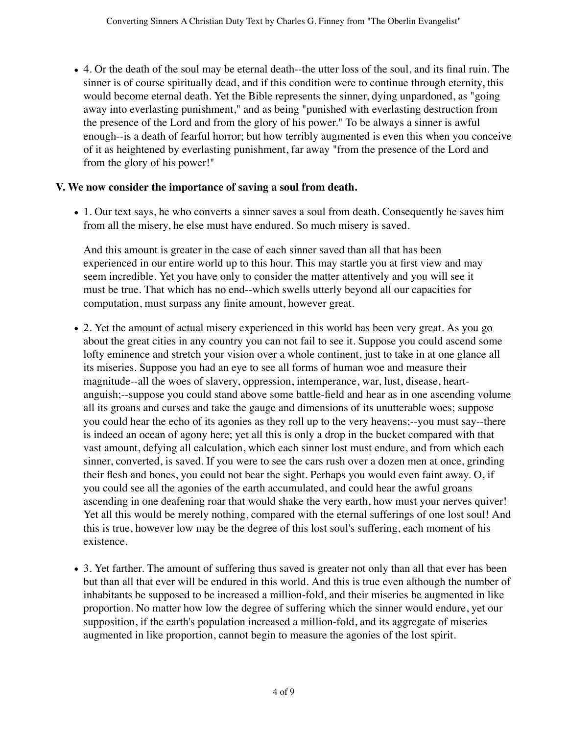4. Or the death of the soul may be eternal death--the utter loss of the soul, and its final ruin. The sinner is of course spiritually dead, and if this condition were to continue through eternity, this would become eternal death. Yet the Bible represents the sinner, dying unpardoned, as "going away into everlasting punishment," and as being "punished with everlasting destruction from the presence of the Lord and from the glory of his power." To be always a sinner is awful enough--is a death of fearful horror; but how terribly augmented is even this when you conceive of it as heightened by everlasting punishment, far away "from the presence of the Lord and from the glory of his power!"

## **V. We now consider the importance of saving a soul from death.**

1. Our text says, he who converts a sinner saves a soul from death. Consequently he saves him from all the misery, he else must have endured. So much misery is saved.

And this amount is greater in the case of each sinner saved than all that has been experienced in our entire world up to this hour. This may startle you at first view and may seem incredible. Yet you have only to consider the matter attentively and you will see it must be true. That which has no end--which swells utterly beyond all our capacities for computation, must surpass any finite amount, however great.

- 2. Yet the amount of actual misery experienced in this world has been very great. As you go about the great cities in any country you can not fail to see it. Suppose you could ascend some lofty eminence and stretch your vision over a whole continent, just to take in at one glance all its miseries. Suppose you had an eye to see all forms of human woe and measure their magnitude--all the woes of slavery, oppression, intemperance, war, lust, disease, heartanguish;--suppose you could stand above some battle-field and hear as in one ascending volume all its groans and curses and take the gauge and dimensions of its unutterable woes; suppose you could hear the echo of its agonies as they roll up to the very heavens;--you must say--there is indeed an ocean of agony here; yet all this is only a drop in the bucket compared with that vast amount, defying all calculation, which each sinner lost must endure, and from which each sinner, converted, is saved. If you were to see the cars rush over a dozen men at once, grinding their flesh and bones, you could not bear the sight. Perhaps you would even faint away. O, if you could see all the agonies of the earth accumulated, and could hear the awful groans ascending in one deafening roar that would shake the very earth, how must your nerves quiver! Yet all this would be merely nothing, compared with the eternal sufferings of one lost soul! And this is true, however low may be the degree of this lost soul's suffering, each moment of his existence.
- 3. Yet farther. The amount of suffering thus saved is greater not only than all that ever has been but than all that ever will be endured in this world. And this is true even although the number of inhabitants be supposed to be increased a million-fold, and their miseries be augmented in like proportion. No matter how low the degree of suffering which the sinner would endure, yet our supposition, if the earth's population increased a million-fold, and its aggregate of miseries augmented in like proportion, cannot begin to measure the agonies of the lost spirit.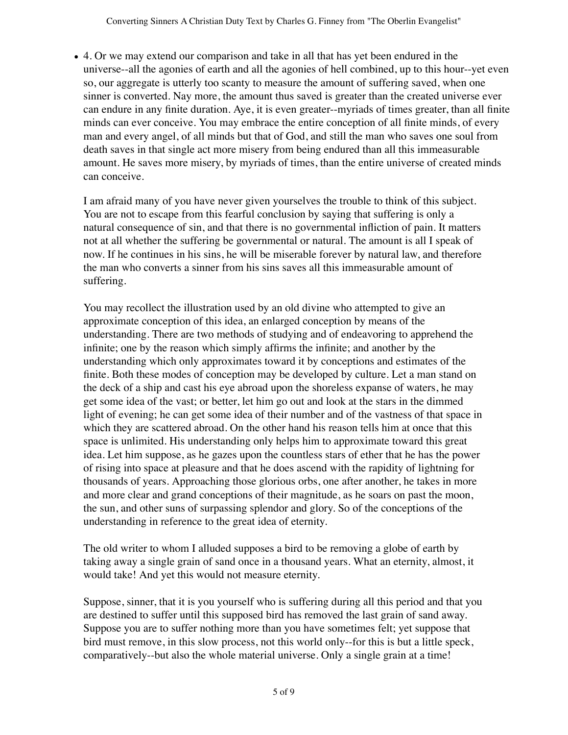4. Or we may extend our comparison and take in all that has yet been endured in the universe--all the agonies of earth and all the agonies of hell combined, up to this hour--yet even so, our aggregate is utterly too scanty to measure the amount of suffering saved, when one sinner is converted. Nay more, the amount thus saved is greater than the created universe ever can endure in any finite duration. Aye, it is even greater--myriads of times greater, than all finite minds can ever conceive. You may embrace the entire conception of all finite minds, of every man and every angel, of all minds but that of God, and still the man who saves one soul from death saves in that single act more misery from being endured than all this immeasurable amount. He saves more misery, by myriads of times, than the entire universe of created minds can conceive.

I am afraid many of you have never given yourselves the trouble to think of this subject. You are not to escape from this fearful conclusion by saying that suffering is only a natural consequence of sin, and that there is no governmental infliction of pain. It matters not at all whether the suffering be governmental or natural. The amount is all I speak of now. If he continues in his sins, he will be miserable forever by natural law, and therefore the man who converts a sinner from his sins saves all this immeasurable amount of suffering.

You may recollect the illustration used by an old divine who attempted to give an approximate conception of this idea, an enlarged conception by means of the understanding. There are two methods of studying and of endeavoring to apprehend the infinite; one by the reason which simply affirms the infinite; and another by the understanding which only approximates toward it by conceptions and estimates of the finite. Both these modes of conception may be developed by culture. Let a man stand on the deck of a ship and cast his eye abroad upon the shoreless expanse of waters, he may get some idea of the vast; or better, let him go out and look at the stars in the dimmed light of evening; he can get some idea of their number and of the vastness of that space in which they are scattered abroad. On the other hand his reason tells him at once that this space is unlimited. His understanding only helps him to approximate toward this great idea. Let him suppose, as he gazes upon the countless stars of ether that he has the power of rising into space at pleasure and that he does ascend with the rapidity of lightning for thousands of years. Approaching those glorious orbs, one after another, he takes in more and more clear and grand conceptions of their magnitude, as he soars on past the moon, the sun, and other suns of surpassing splendor and glory. So of the conceptions of the understanding in reference to the great idea of eternity.

The old writer to whom I alluded supposes a bird to be removing a globe of earth by taking away a single grain of sand once in a thousand years. What an eternity, almost, it would take! And yet this would not measure eternity.

Suppose, sinner, that it is you yourself who is suffering during all this period and that you are destined to suffer until this supposed bird has removed the last grain of sand away. Suppose you are to suffer nothing more than you have sometimes felt; yet suppose that bird must remove, in this slow process, not this world only--for this is but a little speck, comparatively--but also the whole material universe. Only a single grain at a time!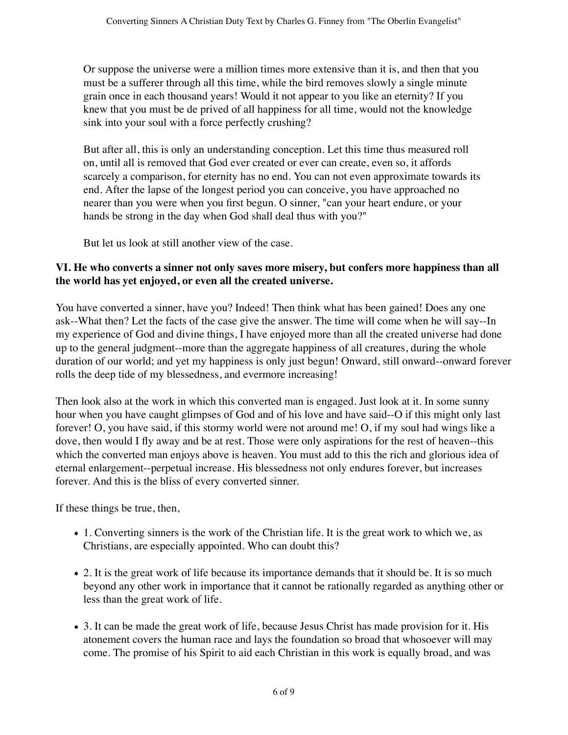Or suppose the universe were a million times more extensive than it is, and then that you must be a sufferer through all this time, while the bird removes slowly a single minute grain once in each thousand years! Would it not appear to you like an eternity? If you knew that you must be de prived of all happiness for all time, would not the knowledge sink into your soul with a force perfectly crushing?

But after all, this is only an understanding conception. Let this time thus measured roll on, until all is removed that God ever created or ever can create, even so, it affords scarcely a comparison, for eternity has no end. You can not even approximate towards its end. After the lapse of the longest period you can conceive, you have approached no nearer than you were when you first begun. O sinner, "can your heart endure, or your hands be strong in the day when God shall deal thus with you?"

But let us look at still another view of the case.

## **VI. He who converts a sinner not only saves more misery, but confers more happiness than all the world has yet enjoyed, or even all the created universe.**

You have converted a sinner, have you? Indeed! Then think what has been gained! Does any one ask--What then? Let the facts of the case give the answer. The time will come when he will say--In my experience of God and divine things, I have enjoyed more than all the created universe had done up to the general judgment--more than the aggregate happiness of all creatures, during the whole duration of our world; and yet my happiness is only just begun! Onward, still onward--onward forever rolls the deep tide of my blessedness, and evermore increasing!

Then look also at the work in which this converted man is engaged. Just look at it. In some sunny hour when you have caught glimpses of God and of his love and have said--O if this might only last forever! O, you have said, if this stormy world were not around me! O, if my soul had wings like a dove, then would I fly away and be at rest. Those were only aspirations for the rest of heaven--this which the converted man enjoys above is heaven. You must add to this the rich and glorious idea of eternal enlargement--perpetual increase. His blessedness not only endures forever, but increases forever. And this is the bliss of every converted sinner.

If these things be true, then,

- 1. Converting sinners is the work of the Christian life. It is the great work to which we, as Christians, are especially appointed. Who can doubt this?
- 2. It is the great work of life because its importance demands that it should be. It is so much beyond any other work in importance that it cannot be rationally regarded as anything other or less than the great work of life.
- 3. It can be made the great work of life, because Jesus Christ has made provision for it. His atonement covers the human race and lays the foundation so broad that whosoever will may come. The promise of his Spirit to aid each Christian in this work is equally broad, and was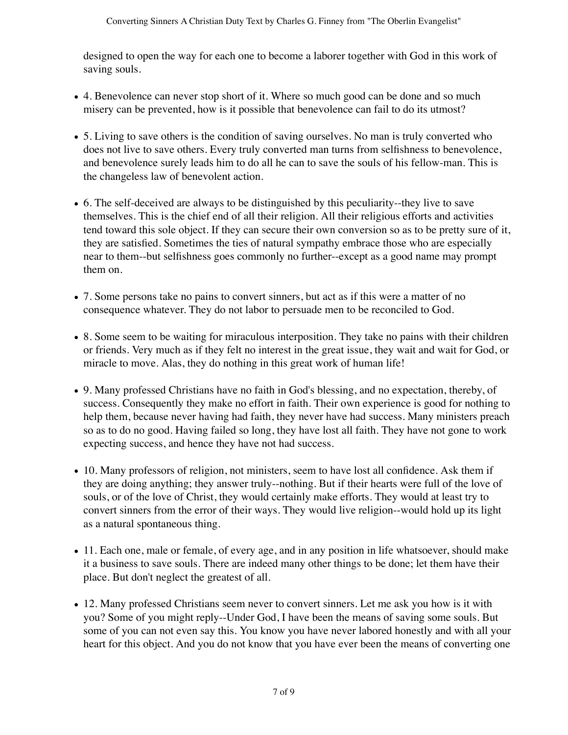designed to open the way for each one to become a laborer together with God in this work of saving souls.

- 4. Benevolence can never stop short of it. Where so much good can be done and so much misery can be prevented, how is it possible that benevolence can fail to do its utmost?
- 5. Living to save others is the condition of saving ourselves. No man is truly converted who does not live to save others. Every truly converted man turns from selfishness to benevolence, and benevolence surely leads him to do all he can to save the souls of his fellow-man. This is the changeless law of benevolent action.
- 6. The self-deceived are always to be distinguished by this peculiarity--they live to save themselves. This is the chief end of all their religion. All their religious efforts and activities tend toward this sole object. If they can secure their own conversion so as to be pretty sure of it, they are satisfied. Sometimes the ties of natural sympathy embrace those who are especially near to them--but selfishness goes commonly no further--except as a good name may prompt them on.
- 7. Some persons take no pains to convert sinners, but act as if this were a matter of no consequence whatever. They do not labor to persuade men to be reconciled to God.
- 8. Some seem to be waiting for miraculous interposition. They take no pains with their children or friends. Very much as if they felt no interest in the great issue, they wait and wait for God, or miracle to move. Alas, they do nothing in this great work of human life!
- 9. Many professed Christians have no faith in God's blessing, and no expectation, thereby, of success. Consequently they make no effort in faith. Their own experience is good for nothing to help them, because never having had faith, they never have had success. Many ministers preach so as to do no good. Having failed so long, they have lost all faith. They have not gone to work expecting success, and hence they have not had success.
- 10. Many professors of religion, not ministers, seem to have lost all confidence. Ask them if they are doing anything; they answer truly--nothing. But if their hearts were full of the love of souls, or of the love of Christ, they would certainly make efforts. They would at least try to convert sinners from the error of their ways. They would live religion--would hold up its light as a natural spontaneous thing.
- 11. Each one, male or female, of every age, and in any position in life whatsoever, should make it a business to save souls. There are indeed many other things to be done; let them have their place. But don't neglect the greatest of all.
- 12. Many professed Christians seem never to convert sinners. Let me ask you how is it with you? Some of you might reply--Under God, I have been the means of saving some souls. But some of you can not even say this. You know you have never labored honestly and with all your heart for this object. And you do not know that you have ever been the means of converting one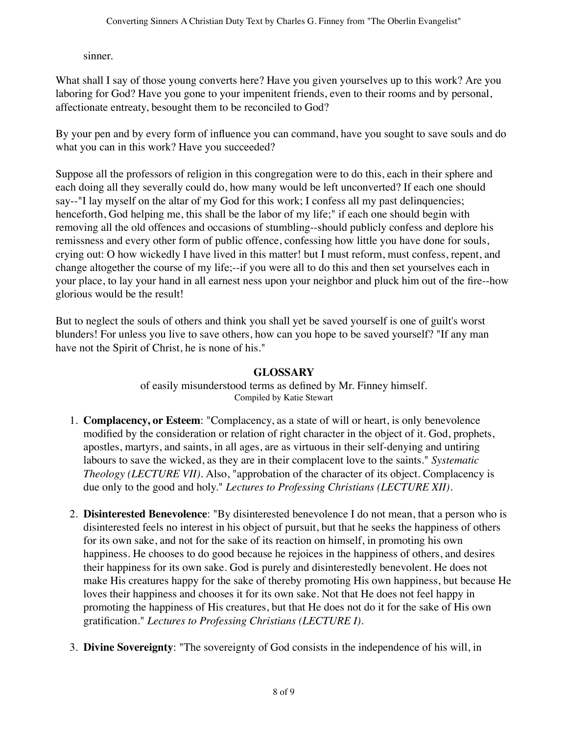sinner.

What shall I say of those young converts here? Have you given yourselves up to this work? Are you laboring for God? Have you gone to your impenitent friends, even to their rooms and by personal, affectionate entreaty, besought them to be reconciled to God?

By your pen and by every form of influence you can command, have you sought to save souls and do what you can in this work? Have you succeeded?

Suppose all the professors of religion in this congregation were to do this, each in their sphere and each doing all they severally could do, how many would be left unconverted? If each one should say--"I lay myself on the altar of my God for this work; I confess all my past delinquencies; henceforth, God helping me, this shall be the labor of my life;" if each one should begin with removing all the old offences and occasions of stumbling--should publicly confess and deplore his remissness and every other form of public offence, confessing how little you have done for souls, crying out: O how wickedly I have lived in this matter! but I must reform, must confess, repent, and change altogether the course of my life;--if you were all to do this and then set yourselves each in your place, to lay your hand in all earnest ness upon your neighbor and pluck him out of the fire--how glorious would be the result!

But to neglect the souls of others and think you shall yet be saved yourself is one of guilt's worst blunders! For unless you live to save others, how can you hope to be saved yourself? "If any man have not the Spirit of Christ, he is none of his."

## **GLOSSARY**

of easily misunderstood terms as defined by Mr. Finney himself. Compiled by Katie Stewart

- **Complacency, or Esteem**: "Complacency, as a state of will or heart, is only benevolence 1. modified by the consideration or relation of right character in the object of it. God, prophets, apostles, martyrs, and saints, in all ages, are as virtuous in their self-denying and untiring labours to save the wicked, as they are in their complacent love to the saints." *Systematic Theology (LECTURE VII).* Also, "approbation of the character of its object. Complacency is due only to the good and holy." *Lectures to Professing Christians (LECTURE XII).*
- **Disinterested Benevolence**: "By disinterested benevolence I do not mean, that a person who is 2. disinterested feels no interest in his object of pursuit, but that he seeks the happiness of others for its own sake, and not for the sake of its reaction on himself, in promoting his own happiness. He chooses to do good because he rejoices in the happiness of others, and desires their happiness for its own sake. God is purely and disinterestedly benevolent. He does not make His creatures happy for the sake of thereby promoting His own happiness, but because He loves their happiness and chooses it for its own sake. Not that He does not feel happy in promoting the happiness of His creatures, but that He does not do it for the sake of His own gratification." *Lectures to Professing Christians (LECTURE I).*
- 3. **Divine Sovereignty**: "The sovereignty of God consists in the independence of his will, in